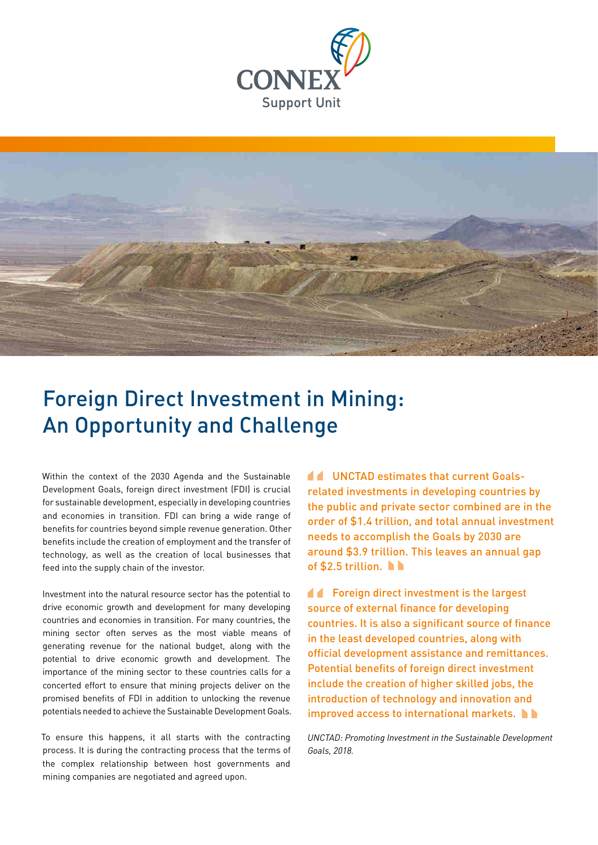



# Foreign Direct Investment in Mining: An Opportunity and Challenge

Within the context of the 2030 Agenda and the Sustainable Development Goals, foreign direct investment (FDI) is crucial for sustainable development, especially in developing countries and economies in transition. FDI can bring a wide range of benefits for countries beyond simple revenue generation. Other benefits include the creation of employment and the transfer of technology, as well as the creation of local businesses that feed into the supply chain of the investor.

Investment into the natural resource sector has the potential to drive economic growth and development for many developing countries and economies in transition. For many countries, the mining sector often serves as the most viable means of generating revenue for the national budget, along with the potential to drive economic growth and development. The importance of the mining sector to these countries calls for a concerted effort to ensure that mining projects deliver on the promised benefits of FDI in addition to unlocking the revenue potentials needed to achieve the Sustainable Development Goals.

To ensure this happens, it all starts with the contracting process. It is during the contracting process that the terms of the complex relationship between host governments and mining companies are negotiated and agreed upon.

UNCTAD estimates that current Goalsrelated investments in developing countries by the public and private sector combined are in the order of \$1.4 trillion, and total annual investment needs to accomplish the Goals by 2030 are around \$3.9 trillion. This leaves an annual gap of \$2.5 trillion. l rela<br>the

**formal Foreign direct investment is the largest** source of external finance for developing countries. It is also a significant source of finance in the least developed countries, along with official development assistance and remittances. Potential benefits of foreign direct investment include the creation of higher skilled jobs, the introduction of technology and innovation and improved access to international markets. Soul

*UNCTAD: Promoting Investment in the Sustainable Development Goals, 2018.*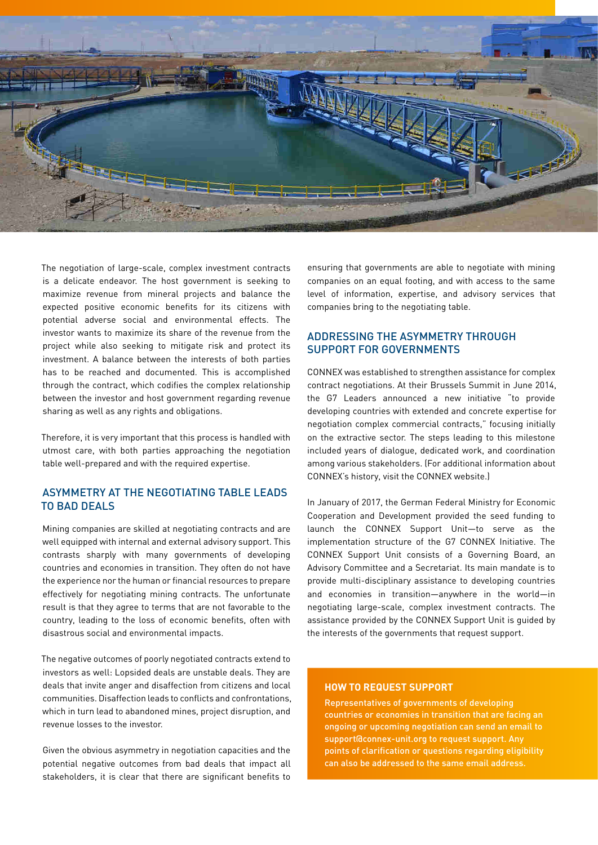

The negotiation of large-scale, complex investment contracts is a delicate endeavor. The host government is seeking to maximize revenue from mineral projects and balance the expected positive economic benefits for its citizens with potential adverse social and environmental effects. The investor wants to maximize its share of the revenue from the project while also seeking to mitigate risk and protect its investment. A balance between the interests of both parties has to be reached and documented. This is accomplished through the contract, which codifies the complex relationship between the investor and host government regarding revenue sharing as well as any rights and obligations.

Therefore, it is very important that this process is handled with utmost care, with both parties approaching the negotiation table well-prepared and with the required expertise.

# ASYMMETRY AT THE NEGOTIATING TABLE LEADS TO BAD DEALS

Mining companies are skilled at negotiating contracts and are well equipped with internal and external advisory support. This contrasts sharply with many governments of developing countries and economies in transition. They often do not have the experience nor the human or financial resources to prepare effectively for negotiating mining contracts. The unfortunate result is that they agree to terms that are not favorable to the country, leading to the loss of economic benefits, often with disastrous social and environmental impacts.

The negative outcomes of poorly negotiated contracts extend to investors as well: Lopsided deals are unstable deals. They are deals that invite anger and disaffection from citizens and local communities. Disaffection leads to conflicts and confrontations, which in turn lead to abandoned mines, project disruption, and revenue losses to the investor.

Given the obvious asymmetry in negotiation capacities and the potential negative outcomes from bad deals that impact all stakeholders, it is clear that there are significant benefits to ensuring that governments are able to negotiate with mining companies on an equal footing, and with access to the same level of information, expertise, and advisory services that companies bring to the negotiating table.

# ADDRESSING THE ASYMMETRY THROUGH SUPPORT FOR GOVERNMENTS

CONNEX was established to strengthen assistance for complex contract negotiations. At their Brussels Summit in June 2014, the G7 Leaders announced a new initiative "to provide developing countries with extended and concrete expertise for negotiation complex commercial contracts," focusing initially on the extractive sector. The steps leading to this milestone included years of dialogue, dedicated work, and coordination among various stakeholders. (For additional information about CONNEX's history, visit [the CONNEX website.](https://www.connex-unit.org/es/))

In January of 2017, the German Federal Ministry for Economic Cooperation and Development provided the seed funding to launch the CONNEX Support Unit—to serve as the implementation structure of the G7 CONNEX Initiative. The CONNEX Support Unit consists of a Governing Board, an Advisory Committee and a Secretariat. Its main mandate is to provide multi-disciplinary assistance to developing countries and economies in transition—anywhere in the world—in negotiating large-scale, complex investment contracts. The assistance provided by the CONNEX Support Unit is guided by the interests of the governments that request support.

#### **HOW TO REQUEST SUPPORT**

Representatives of governments of developing countries or economies in transition that are facing an ongoing or upcoming negotiation can send an email to [support@connex-unit.org](mailto:support@connex-unit.org) to request support. Any points of clarification or questions regarding eligibility can also be addressed to the same email address.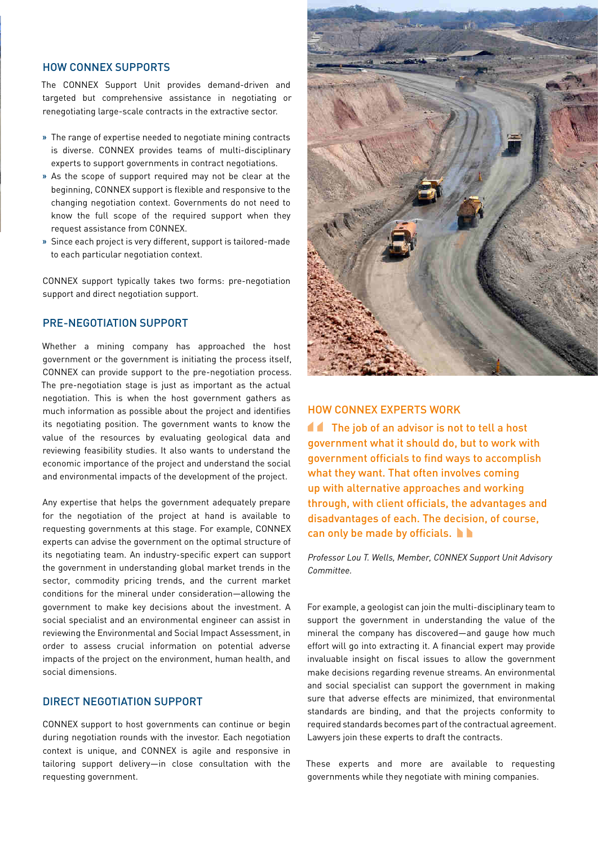#### HOW CONNEX SUPPORTS

The CONNEX Support Unit provides demand-driven and targeted but comprehensive assistance in negotiating or renegotiating large-scale contracts in the extractive sector.

- **»** The range of expertise needed to negotiate mining contracts is diverse. CONNEX provides teams of multi-disciplinary experts to support governments in contract negotiations.
- **»** As the scope of support required may not be clear at the beginning, CONNEX support is flexible and responsive to the changing negotiation context. Governments do not need to know the full scope of the required support when they request assistance from CONNEX.
- **»** Since each project is very different, support is tailored-made to each particular negotiation context.

CONNEX support typically takes two forms: pre-negotiation support and direct negotiation support.

# PRE-NEGOTIATION SUPPORT

Whether a mining company has approached the host government or the government is initiating the process itself, CONNEX can provide support to the pre-negotiation process. The pre-negotiation stage is just as important as the actual negotiation. This is when the host government gathers as much information as possible about the project and identifies its negotiating position. The government wants to know the value of the resources by evaluating geological data and reviewing feasibility studies. It also wants to understand the economic importance of the project and understand the social and environmental impacts of the development of the project.

Any expertise that helps the government adequately prepare for the negotiation of the project at hand is available to requesting governments at this stage. For example, CONNEX experts can advise the government on the optimal structure of its negotiating team. An industry-specific expert can support the government in understanding global market trends in the sector, commodity pricing trends, and the current market conditions for the mineral under consideration—allowing the government to make key decisions about the investment. A social specialist and an environmental engineer can assist in reviewing the Environmental and Social Impact Assessment, in order to assess crucial information on potential adverse impacts of the project on the environment, human health, and social dimensions.

#### DIRECT NEGOTIATION SUPPORT

CONNEX support to host governments can continue or begin during negotiation rounds with the investor. Each negotiation context is unique, and CONNEX is agile and responsive in tailoring support delivery— in close consultation with the requesting government.



#### HOW CONNEX EXPERTS WORK

**The job of an advisor is not to tell a host** government what it should do, but to work with government officials to find ways to accomplish what they want. That often involves coming up with alternative approaches and working through, with client officials, the advantages and disadvantages of each. The decision, of course, can only be made by officials. gove<br>"<br>""

*Professor Lou T. Wells, Member, CONNEX Support Unit Advisory Committee.*

For example, a geologist can join the multi-disciplinary team to support the government in understanding the value of the mineral the company has discovered—and gauge how much effort will go into extracting it. A financial expert may provide invaluable insight on fiscal issues to allow the government make decisions regarding revenue streams. An environmental and social specialist can support the government in making sure that adverse effects are minimized, that environmental standards are binding, and that the projects conformity to required standards becomes part of the contractual agreement. Lawyers join these experts to draft the contracts.

These experts and more are available to requesting governments while they negotiate with mining companies.